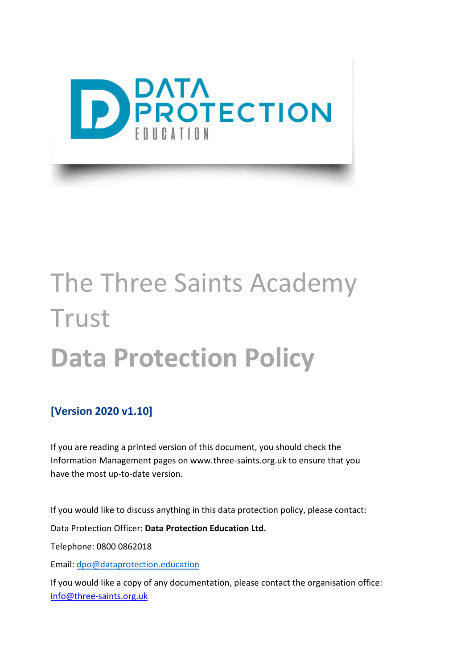

# The Three Saints Academy Trust **Data Protection Policy**

#### **[Version 2020 v1.10]**

If you are reading a printed version of this document, you should check the Information Management pages on www.three-saints.org.uk to ensure that you have the most up-to-date version.

If you would like to discuss anything in this data protection policy, please contact:

Data Protection Officer: **Data Protection Education Ltd.**

Telephone: 0800 0862018

Email: [dpo@dataprotection.education](mailto:dpo@dataprotection.education)

If you would like a copy of any documentation, please contact the organisation office: [info@three-saints.org.uk](mailto:info@three-saints.org.uk)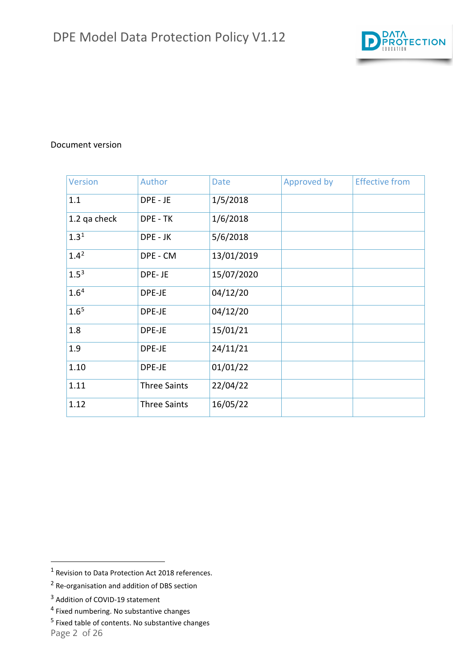

#### Document version

| Version          | Author              | <b>Date</b> | Approved by | <b>Effective from</b> |
|------------------|---------------------|-------------|-------------|-----------------------|
| 1.1              | DPE - JE            | 1/5/2018    |             |                       |
| 1.2 qa check     | DPE - TK            | 1/6/2018    |             |                       |
| $1.3^{1}$        | DPE - JK            | 5/6/2018    |             |                       |
| 1.4 <sup>2</sup> | DPE - CM            | 13/01/2019  |             |                       |
| $1.5^{3}$        | DPE-JE              | 15/07/2020  |             |                       |
| 1.6 <sup>4</sup> | DPE-JE              | 04/12/20    |             |                       |
| 1.6 <sup>5</sup> | DPE-JE              | 04/12/20    |             |                       |
| 1.8              | DPE-JE              | 15/01/21    |             |                       |
| 1.9              | DPE-JE              | 24/11/21    |             |                       |
| 1.10             | DPE-JE              | 01/01/22    |             |                       |
| 1.11             | <b>Three Saints</b> | 22/04/22    |             |                       |
| 1.12             | <b>Three Saints</b> | 16/05/22    |             |                       |

<span id="page-1-0"></span><sup>1</sup> Revision to Data Protection Act 2018 references.

<span id="page-1-1"></span><sup>2</sup> Re-organisation and addition of DBS section

<span id="page-1-2"></span><sup>3</sup> Addition of COVID-19 statement

<span id="page-1-3"></span><sup>4</sup> Fixed numbering. No substantive changes

<span id="page-1-4"></span><sup>5</sup> Fixed table of contents. No substantive changes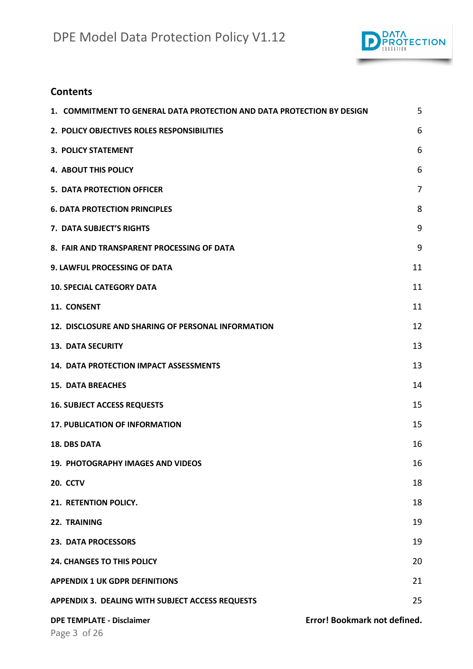

#### **Contents**

| 5<br>1. COMMITMENT TO GENERAL DATA PROTECTION AND DATA PROTECTION BY DESIGN |                              |  |  |  |
|-----------------------------------------------------------------------------|------------------------------|--|--|--|
| 2. POLICY OBJECTIVES ROLES RESPONSIBILITIES                                 | 6                            |  |  |  |
| <b>3. POLICY STATEMENT</b>                                                  | 6                            |  |  |  |
| <b>4. ABOUT THIS POLICY</b>                                                 | 6                            |  |  |  |
| <b>5. DATA PROTECTION OFFICER</b>                                           | $\overline{7}$               |  |  |  |
| <b>6. DATA PROTECTION PRINCIPLES</b>                                        | 8                            |  |  |  |
| 7. DATA SUBJECT'S RIGHTS                                                    | 9                            |  |  |  |
| 8. FAIR AND TRANSPARENT PROCESSING OF DATA                                  | 9                            |  |  |  |
| 9. LAWFUL PROCESSING OF DATA                                                | 11                           |  |  |  |
| <b>10. SPECIAL CATEGORY DATA</b>                                            | 11                           |  |  |  |
| 11. CONSENT                                                                 | 11                           |  |  |  |
| 12. DISCLOSURE AND SHARING OF PERSONAL INFORMATION                          | 12                           |  |  |  |
| <b>13. DATA SECURITY</b>                                                    | 13                           |  |  |  |
| <b>14. DATA PROTECTION IMPACT ASSESSMENTS</b>                               | 13                           |  |  |  |
| <b>15. DATA BREACHES</b>                                                    | 14                           |  |  |  |
| <b>16. SUBJECT ACCESS REQUESTS</b>                                          | 15                           |  |  |  |
| <b>17. PUBLICATION OF INFORMATION</b>                                       | 15                           |  |  |  |
| <b>18. DBS DATA</b>                                                         | 16                           |  |  |  |
| 19. PHOTOGRAPHY IMAGES AND VIDEOS                                           | 16                           |  |  |  |
| <b>20. CCTV</b>                                                             | 18                           |  |  |  |
| 21. RETENTION POLICY.                                                       | 18                           |  |  |  |
| 22. TRAINING                                                                | 19                           |  |  |  |
| <b>23. DATA PROCESSORS</b>                                                  | 19                           |  |  |  |
| <b>24. CHANGES TO THIS POLICY</b>                                           | 20                           |  |  |  |
| <b>APPENDIX 1 UK GDPR DEFINITIONS</b>                                       | 21                           |  |  |  |
| APPENDIX 3. DEALING WITH SUBJECT ACCESS REQUESTS                            | 25                           |  |  |  |
| <b>DPE TEMPLATE - Disclaimer</b>                                            | Error! Bookmark not defined. |  |  |  |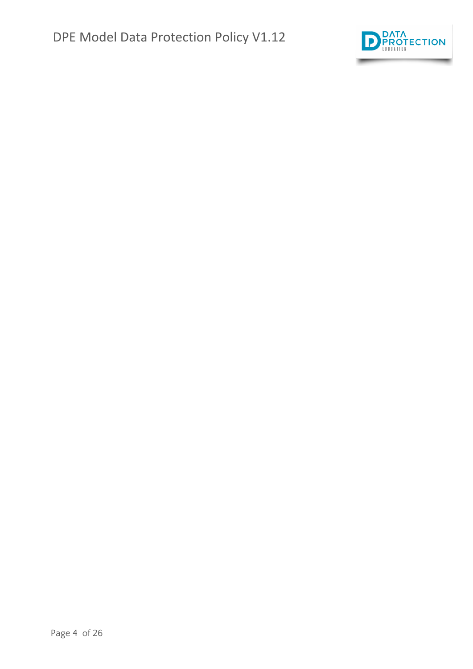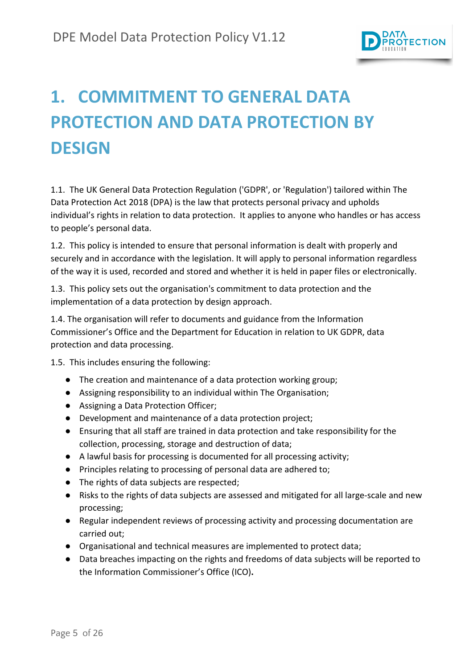

# <span id="page-4-0"></span>**1. COMMITMENT TO GENERAL DATA PROTECTION AND DATA PROTECTION BY DESIGN**

1.1. The UK General Data Protection Regulation ('GDPR', or 'Regulation') tailored within The Data Protection Act 2018 (DPA) is the law that protects personal privacy and upholds individual's rights in relation to data protection. It applies to anyone who handles or has access to people's personal data.

1.2. This policy is intended to ensure that personal information is dealt with properly and securely and in accordance with the legislation. It will apply to personal information regardless of the way it is used, recorded and stored and whether it is held in paper files or electronically.

1.3. This policy sets out the organisation's commitment to data protection and the implementation of a data protection by design approach.

1.4. The organisation will refer to documents and guidance from the Information Commissioner's Office and the Department for Education in relation to UK GDPR, data protection and data processing.

1.5. This includes ensuring the following:

- The creation and maintenance of a data protection working group;
- Assigning responsibility to an individual within The Organisation;
- Assigning a Data Protection Officer;
- Development and maintenance of a data protection project;
- Ensuring that all staff are trained in data protection and take responsibility for the collection, processing, storage and destruction of data;
- A lawful basis for processing is documented for all processing activity;
- Principles relating to processing of personal data are adhered to;
- The rights of data subjects are respected;
- Risks to the rights of data subjects are assessed and mitigated for all large-scale and new processing;
- Regular independent reviews of processing activity and processing documentation are carried out;
- Organisational and technical measures are implemented to protect data;
- Data breaches impacting on the rights and freedoms of data subjects will be reported to the Information Commissioner's Office (ICO)**.**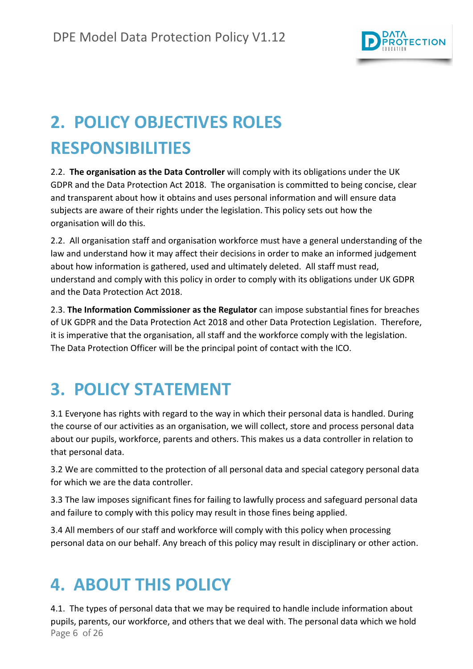

# <span id="page-5-0"></span>**2. POLICY OBJECTIVES ROLES RESPONSIBILITIES**

2.2. **The organisation as the Data Controller** will comply with its obligations under the UK GDPR and the Data Protection Act 2018. The organisation is committed to being concise, clear and transparent about how it obtains and uses personal information and will ensure data subjects are aware of their rights under the legislation. This policy sets out how the organisation will do this.

2.2. All organisation staff and organisation workforce must have a general understanding of the law and understand how it may affect their decisions in order to make an informed judgement about how information is gathered, used and ultimately deleted. All staff must read, understand and comply with this policy in order to comply with its obligations under UK GDPR and the Data Protection Act 2018.

2.3. **The Information Commissioner as the Regulator** can impose substantial fines for breaches of UK GDPR and the Data Protection Act 2018 and other Data Protection Legislation. Therefore, it is imperative that the organisation, all staff and the workforce comply with the legislation. The Data Protection Officer will be the principal point of contact with the ICO.

# <span id="page-5-1"></span>**3. POLICY STATEMENT**

3.1 Everyone has rights with regard to the way in which their personal data is handled. During the course of our activities as an organisation, we will collect, store and process personal data about our pupils, workforce, parents and others. This makes us a data controller in relation to that personal data.

3.2 We are committed to the protection of all personal data and special category personal data for which we are the data controller.

3.3 The law imposes significant fines for failing to lawfully process and safeguard personal data and failure to comply with this policy may result in those fines being applied.

3.4 All members of our staff and workforce will comply with this policy when processing personal data on our behalf. Any breach of this policy may result in disciplinary or other action.

### <span id="page-5-2"></span>**4. ABOUT THIS POLICY**

Page 6 of 26 4.1. The types of personal data that we may be required to handle include information about pupils, parents, our workforce, and others that we deal with. The personal data which we hold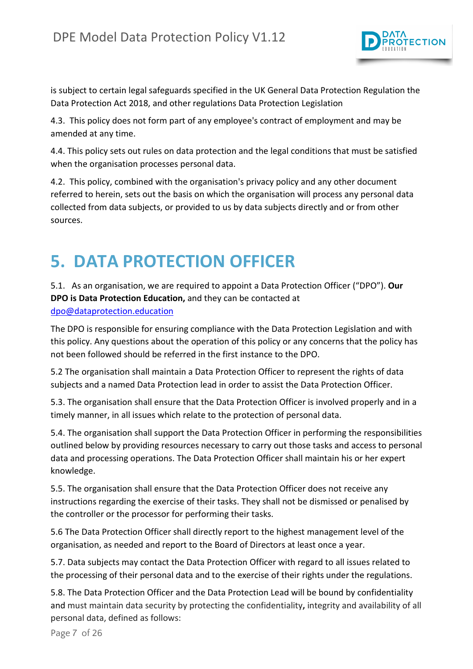

is subject to certain legal safeguards specified in the UK General Data Protection Regulation the Data Protection Act 2018, and other regulations Data Protection Legislation

4.3. This policy does not form part of any employee's contract of employment and may be amended at any time.

4.4. This policy sets out rules on data protection and the legal conditions that must be satisfied when the organisation processes personal data.

4.2. This policy, combined with the organisation's privacy policy and any other document referred to herein, sets out the basis on which the organisation will process any personal data collected from data subjects, or provided to us by data subjects directly and or from other sources.

### <span id="page-6-0"></span>**5. DATA PROTECTION OFFICER**

5.1. As an organisation, we are required to appoint a Data Protection Officer ("DPO"). **Our DPO is Data Protection Education,** and they can be contacted at [dpo@dataprotection.education](mailto:dpo@dataprotection.education) 

The DPO is responsible for ensuring compliance with the Data Protection Legislation and with this policy. Any questions about the operation of this policy or any concerns that the policy has not been followed should be referred in the first instance to the DPO.

5.2 The organisation shall maintain a Data Protection Officer to represent the rights of data subjects and a named Data Protection lead in order to assist the Data Protection Officer.

5.3. The organisation shall ensure that the Data Protection Officer is involved properly and in a timely manner, in all issues which relate to the protection of personal data.

5.4. The organisation shall support the Data Protection Officer in performing the responsibilities outlined below by providing resources necessary to carry out those tasks and access to personal data and processing operations. The Data Protection Officer shall maintain his or her expert knowledge.

5.5. The organisation shall ensure that the Data Protection Officer does not receive any instructions regarding the exercise of their tasks. They shall not be dismissed or penalised by the controller or the processor for performing their tasks.

5.6 The Data Protection Officer shall directly report to the highest management level of the organisation, as needed and report to the Board of Directors at least once a year.

5.7. Data subjects may contact the Data Protection Officer with regard to all issues related to the processing of their personal data and to the exercise of their rights under the regulations.

5.8. The Data Protection Officer and the Data Protection Lead will be bound by confidentiality and must maintain data security by protecting the confidentiality**,** integrity and availability of all personal data, defined as follows: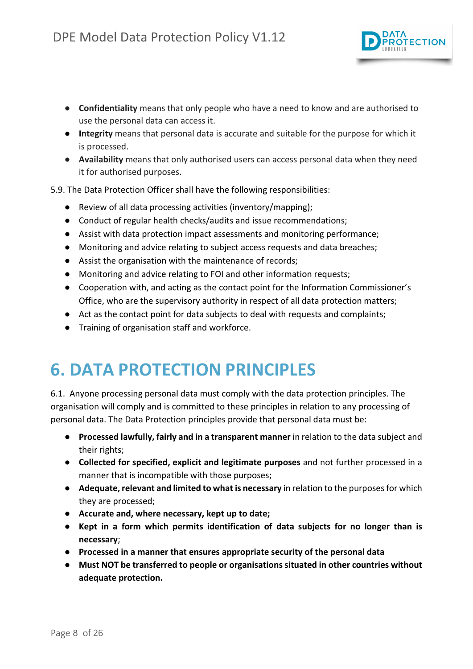

- **Confidentiality** means that only people who have a need to know and are authorised to use the personal data can access it.
- **Integrity** means that personal data is accurate and suitable for the purpose for which it is processed.
- **Availability** means that only authorised users can access personal data when they need it for authorised purposes.

5.9. The Data Protection Officer shall have the following responsibilities:

- Review of all data processing activities (inventory/mapping);
- Conduct of regular health checks/audits and issue recommendations;
- Assist with data protection impact assessments and monitoring performance;
- Monitoring and advice relating to subject access requests and data breaches;
- Assist the organisation with the maintenance of records;
- Monitoring and advice relating to FOI and other information requests;
- Cooperation with, and acting as the contact point for the Information Commissioner's Office, who are the supervisory authority in respect of all data protection matters;
- Act as the contact point for data subjects to deal with requests and complaints;
- Training of organisation staff and workforce.

#### <span id="page-7-0"></span>**6. DATA PROTECTION PRINCIPLES**

6.1. Anyone processing personal data must comply with the data protection principles. The organisation will comply and is committed to these principles in relation to any processing of personal data. The Data Protection principles provide that personal data must be:

- **Processed lawfully, fairly and in a transparent manner** in relation to the data subject and their rights;
- **Collected for specified, explicit and legitimate purposes** and not further processed in a manner that is incompatible with those purposes;
- **Adequate, relevant and limited to what is necessary** in relation to the purposes for which they are processed;
- **Accurate and, where necessary, kept up to date;**
- **Kept in a form which permits identification of data subjects for no longer than is necessary**;
- **Processed in a manner that ensures appropriate security of the personal data**
- **Must NOT be transferred to people or organisations situated in other countries without adequate protection.**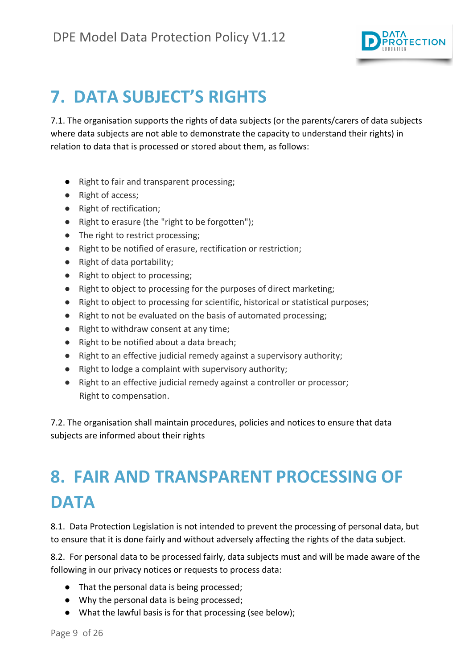

### <span id="page-8-0"></span>**7. DATA SUBJECT'S RIGHTS**

7.1. The organisation supports the rights of data subjects (or the parents/carers of data subjects where data subjects are not able to demonstrate the capacity to understand their rights) in relation to data that is processed or stored about them, as follows:

- Right to fair and transparent processing;
- Right of access;
- Right of rectification;
- Right to erasure (the "right to be forgotten");
- The right to restrict processing;
- Right to be notified of erasure, rectification or restriction;
- Right of data portability;
- Right to object to processing:
- Right to object to processing for the purposes of direct marketing;
- Right to object to processing for scientific, historical or statistical purposes;
- Right to not be evaluated on the basis of automated processing;
- Right to withdraw consent at any time;
- Right to be notified about a data breach;
- Right to an effective judicial remedy against a supervisory authority;
- Right to lodge a complaint with supervisory authority;
- Right to an effective judicial remedy against a controller or processor; Right to compensation.

7.2. The organisation shall maintain procedures, policies and notices to ensure that data subjects are informed about their rights

# <span id="page-8-1"></span>**8. FAIR AND TRANSPARENT PROCESSING OF DATA**

8.1. Data Protection Legislation is not intended to prevent the processing of personal data, but to ensure that it is done fairly and without adversely affecting the rights of the data subject.

8.2. For personal data to be processed fairly, data subjects must and will be made aware of the following in our privacy notices or requests to process data:

- That the personal data is being processed;
- Why the personal data is being processed;
- What the lawful basis is for that processing (see below);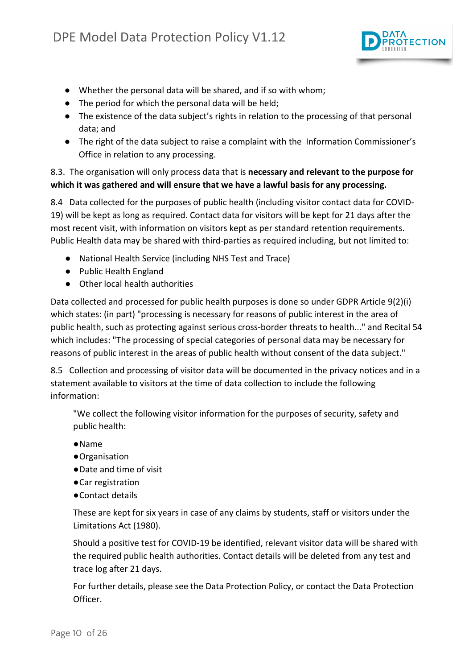

- Whether the personal data will be shared, and if so with whom;
- The period for which the personal data will be held;
- The existence of the data subject's rights in relation to the processing of that personal data; and
- The right of the data subject to raise a complaint with the Information Commissioner's Office in relation to any processing.

8.3. The organisation will only process data that is **necessary and relevant to the purpose for which it was gathered and will ensure that we have a lawful basis for any processing.**

8.4 Data collected for the purposes of public health (including visitor contact data for COVID-19) will be kept as long as required. Contact data for visitors will be kept for 21 days after the most recent visit, with information on visitors kept as per standard retention requirements. Public Health data may be shared with third-parties as required including, but not limited to:

- National Health Service (including NHS Test and Trace)
- Public Health England
- Other local health authorities

Data collected and processed for public health purposes is done so under GDPR [Article 9\(2\)\(i\)](https://gdpr-info.eu/art-9-gdpr/) which states: (in part) "processing is necessary for reasons of [public interest](https://kb.dataprotection.education/component/seoglossary/1-data-protection-definitions/public-interest) in the area of public health, such as protecting against serious cross-border threats to health..." and [Recital 54](https://gdpr-info.eu/recitals/no-54/) which includes: "The processing of special categories of personal data may be necessary for reasons of public interest in the areas of public health without consent of the data subject."

8.5 Collection and processing of visitor data will be documented in the privacy notices and in a statement available to visitors at the time of data collection to include the following information:

"We collect the following visitor information for the purposes of security, safety and public health:

- ●Name
- ●Organisation
- ●Date and time of visit
- ●Car registration
- ●Contact details

These are kept for six years in case of any claims by students, staff or visitors under the Limitations Act (1980).

Should a positive test for COVID-19 be identified, relevant visitor data will be shared with the required public health authorities. Contact details will be deleted from any test and trace log after 21 days.

For further details, please see the Data Protection Policy, or contact the Data Protection Officer.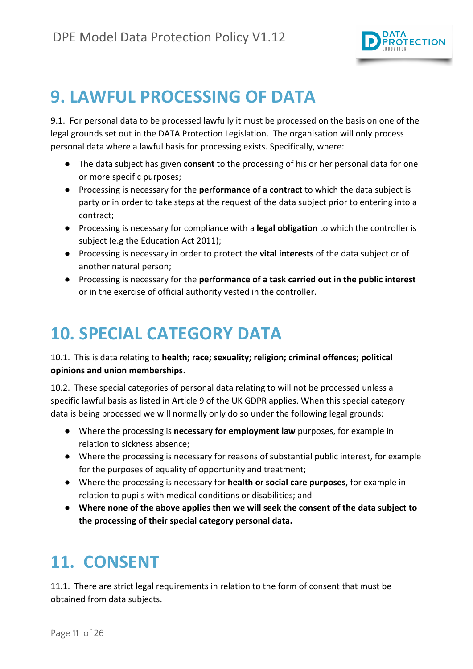

### <span id="page-10-0"></span>**9. LAWFUL PROCESSING OF DATA**

9.1. For personal data to be processed lawfully it must be processed on the basis on one of the legal grounds set out in the DATA Protection Legislation. The organisation will only process personal data where a lawful basis for processing exists. Specifically, where:

- The data subject has given **consent** to the processing of his or her personal data for one or more specific purposes;
- Processing is necessary for the **performance of a contract** to which the data subject is party or in order to take steps at the request of the data subject prior to entering into a contract;
- Processing is necessary for compliance with a **legal obligation** to which the controller is subject (e.g the Education Act 2011);
- Processing is necessary in order to protect the **vital interests** of the data subject or of another natural person;
- Processing is necessary for the **performance of a task carried out in the public interest** or in the exercise of official authority vested in the controller.

# <span id="page-10-1"></span>**10. SPECIAL CATEGORY DATA**

#### 10.1. This is data relating to **health; race; sexuality; religion; criminal offences; political opinions and union memberships**.

10.2. These special categories of personal data relating to will not be processed unless a specific lawful basis as listed in Article 9 of the UK GDPR applies. When this special category data is being processed we will normally only do so under the following legal grounds:

- Where the processing is **necessary for employment law** purposes, for example in relation to sickness absence;
- Where the processing is necessary for reasons of substantial public interest, for example for the purposes of equality of opportunity and treatment;
- Where the processing is necessary for **health or social care purposes**, for example in relation to pupils with medical conditions or disabilities; and
- **Where none of the above applies then we will seek the consent of the data subject to the processing of their special category personal data.**

### <span id="page-10-2"></span>**11. CONSENT**

11.1. There are strict legal requirements in relation to the form of consent that must be obtained from data subjects.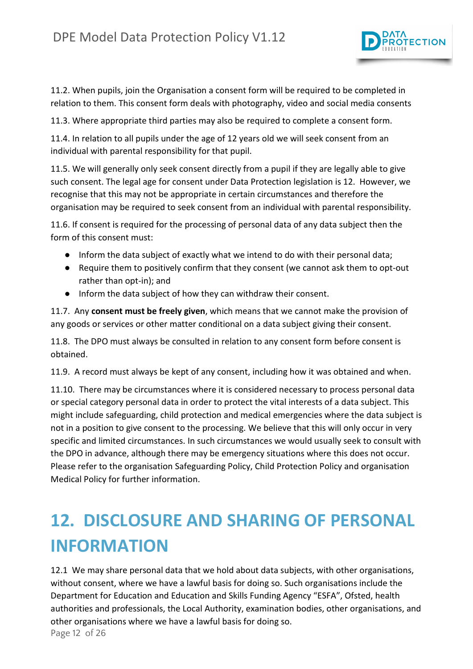

11.2. When pupils, join the Organisation a consent form will be required to be completed in relation to them. This consent form deals with photography, video and social media consents

11.3. Where appropriate third parties may also be required to complete a consent form.

11.4. In relation to all pupils under the age of 12 years old we will seek consent from an individual with parental responsibility for that pupil.

11.5. We will generally only seek consent directly from a pupil if they are legally able to give such consent. The legal age for consent under Data Protection legislation is 12. However, we recognise that this may not be appropriate in certain circumstances and therefore the organisation may be required to seek consent from an individual with parental responsibility.

11.6. If consent is required for the processing of personal data of any data subject then the form of this consent must:

- Inform the data subject of exactly what we intend to do with their personal data;
- Require them to positively confirm that they consent (we cannot ask them to opt-out rather than opt-in); and
- Inform the data subject of how they can withdraw their consent.

11.7. Any **consent must be freely given**, which means that we cannot make the provision of any goods or services or other matter conditional on a data subject giving their consent.

11.8. The DPO must always be consulted in relation to any consent form before consent is obtained.

11.9. A record must always be kept of any consent, including how it was obtained and when.

11.10.There may be circumstances where it is considered necessary to process personal data or special category personal data in order to protect the vital interests of a data subject. This might include safeguarding, child protection and medical emergencies where the data subject is not in a position to give consent to the processing. We believe that this will only occur in very specific and limited circumstances. In such circumstances we would usually seek to consult with the DPO in advance, although there may be emergency situations where this does not occur. Please refer to the organisation Safeguarding Policy, Child Protection Policy and organisation Medical Policy for further information.

### <span id="page-11-0"></span>**12. DISCLOSURE AND SHARING OF PERSONAL INFORMATION**

12.1 We may share personal data that we hold about data subjects, with other organisations, without consent, where we have a lawful basis for doing so. Such organisations include the Department for Education and Education and Skills Funding Agency "ESFA", Ofsted, health authorities and professionals, the Local Authority, examination bodies, other organisations, and other organisations where we have a lawful basis for doing so.

Page 12 of 26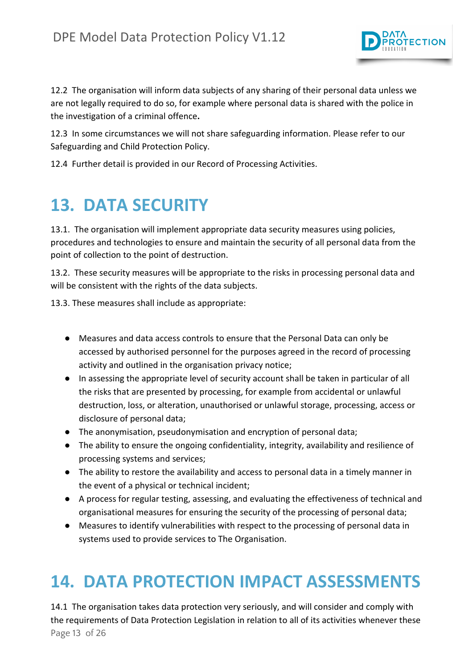

12.2 The organisation will inform data subjects of any sharing of their personal data unless we are not legally required to do so, for example where personal data is shared with the police in the investigation of a criminal offence**.**

12.3 In some circumstances we will not share safeguarding information. Please refer to our Safeguarding and Child Protection Policy.

12.4 Further detail is provided in our Record of Processing Activities.

#### <span id="page-12-0"></span>**13. DATA SECURITY**

13.1. The organisation will implement appropriate data security measures using policies, procedures and technologies to ensure and maintain the security of all personal data from the point of collection to the point of destruction.

13.2. These security measures will be appropriate to the risks in processing personal data and will be consistent with the rights of the data subjects.

13.3. These measures shall include as appropriate:

- Measures and data access controls to ensure that the Personal Data can only be accessed by authorised personnel for the purposes agreed in the record of processing activity and outlined in the organisation privacy notice;
- In assessing the appropriate level of security account shall be taken in particular of all the risks that are presented by processing, for example from accidental or unlawful destruction, loss, or alteration, unauthorised or unlawful storage, processing, access or disclosure of personal data;
- The anonymisation, pseudonymisation and encryption of personal data;
- The ability to ensure the ongoing confidentiality, integrity, availability and resilience of processing systems and services;
- The ability to restore the availability and access to personal data in a timely manner in the event of a physical or technical incident;
- A process for regular testing, assessing, and evaluating the effectiveness of technical and organisational measures for ensuring the security of the processing of personal data;
- Measures to identify vulnerabilities with respect to the processing of personal data in systems used to provide services to The Organisation.

#### <span id="page-12-1"></span>**14. DATA PROTECTION IMPACT ASSESSMENTS**

Page 13 of 26 14.1 The organisation takes data protection very seriously, and will consider and comply with the requirements of Data Protection Legislation in relation to all of its activities whenever these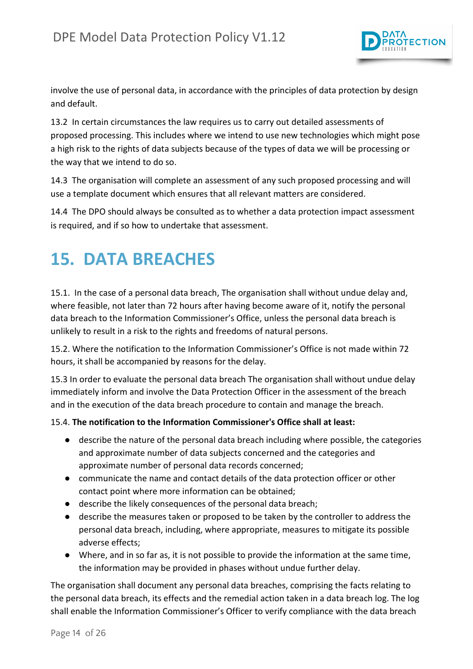

involve the use of personal data, in accordance with the principles of data protection by design and default.

13.2 In certain circumstances the law requires us to carry out detailed assessments of proposed processing. This includes where we intend to use new technologies which might pose a high risk to the rights of data subjects because of the types of data we will be processing or the way that we intend to do so.

14.3 The organisation will complete an assessment of any such proposed processing and will use a template document which ensures that all relevant matters are considered.

14.4 The DPO should always be consulted as to whether a data protection impact assessment is required, and if so how to undertake that assessment.

### <span id="page-13-0"></span>**15. DATA BREACHES**

15.1. In the case of a personal data breach, The organisation shall without undue delay and, where feasible, not later than 72 hours after having become aware of it, notify the personal data breach to the Information Commissioner's Office, unless the personal data breach is unlikely to result in a risk to the rights and freedoms of natural persons.

15.2. Where the notification to the Information Commissioner's Office is not made within 72 hours, it shall be accompanied by reasons for the delay.

15.3 In order to evaluate the personal data breach The organisation shall without undue delay immediately inform and involve the Data Protection Officer in the assessment of the breach and in the execution of the data breach procedure to contain and manage the breach.

#### 15.4. **The notification to the Information Commissioner's Office shall at least:**

- describe the nature of the personal data breach including where possible, the categories and approximate number of data subjects concerned and the categories and approximate number of personal data records concerned;
- communicate the name and contact details of the data protection officer or other contact point where more information can be obtained;
- describe the likely consequences of the personal data breach;
- describe the measures taken or proposed to be taken by the controller to address the personal data breach, including, where appropriate, measures to mitigate its possible adverse effects;
- Where, and in so far as, it is not possible to provide the information at the same time, the information may be provided in phases without undue further delay.

The organisation shall document any personal data breaches, comprising the facts relating to the personal data breach, its effects and the remedial action taken in a data breach log. The log shall enable the Information Commissioner's Officer to verify compliance with the data breach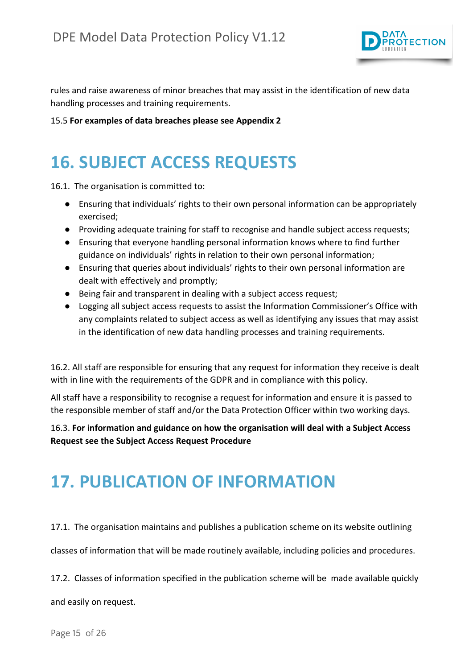

rules and raise awareness of minor breaches that may assist in the identification of new data handling processes and training requirements.

15.5 **For examples of data breaches please see Appendix 2**

### <span id="page-14-0"></span>**16. SUBJECT ACCESS REQUESTS**

16.1. The organisation is committed to:

- Ensuring that individuals' rights to their own personal information can be appropriately exercised;
- Providing adequate training for staff to recognise and handle subject access requests;
- Ensuring that everyone handling personal information knows where to find further guidance on individuals' rights in relation to their own personal information;
- Ensuring that queries about individuals' rights to their own personal information are dealt with effectively and promptly;
- Being fair and transparent in dealing with a subject access request;
- Logging all subject access requests to assist the Information Commissioner's Office with any complaints related to subject access as well as identifying any issues that may assist in the identification of new data handling processes and training requirements.

16.2. All staff are responsible for ensuring that any request for information they receive is dealt with in line with the requirements of the GDPR and in compliance with this policy.

All staff have a responsibility to recognise a request for information and ensure it is passed to the responsible member of staff and/or the Data Protection Officer within two working days.

16.3. **For information and guidance on how the organisation will deal with a Subject Access Request see the Subject Access Request Procedure**

#### <span id="page-14-1"></span>**17. PUBLICATION OF INFORMATION**

17.1. The organisation maintains and publishes a publication scheme on its website outlining

classes of information that will be made routinely available, including policies and procedures.

17.2. Classes of information specified in the publication scheme will be made available quickly

and easily on request.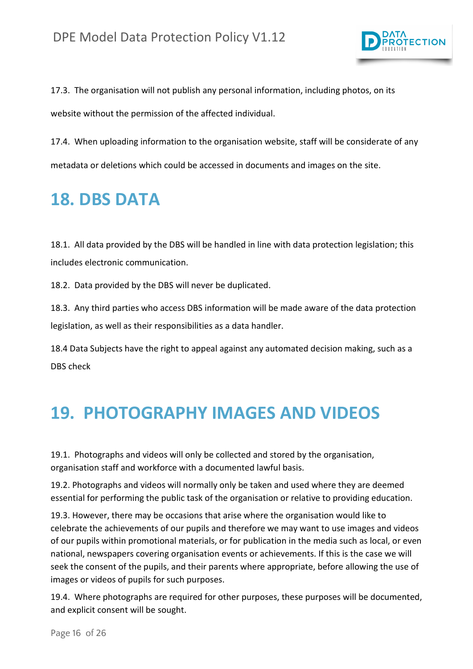

17.3. The organisation will not publish any personal information, including photos, on its website without the permission of the affected individual.

17.4. When uploading information to the organisation website, staff will be considerate of any metadata or deletions which could be accessed in documents and images on the site.

#### <span id="page-15-0"></span>**18. DBS DATA**

18.1. All data provided by the DBS will be handled in line with data protection legislation; this includes electronic communication.

18.2. Data provided by the DBS will never be duplicated.

18.3. Any third parties who access DBS information will be made aware of the data protection legislation, as well as their responsibilities as a data handler.

18.4 Data Subjects have the right to appeal against any automated decision making, such as a DBS check

#### <span id="page-15-1"></span>**19. PHOTOGRAPHY IMAGES AND VIDEOS**

19.1. Photographs and videos will only be collected and stored by the organisation, organisation staff and workforce with a documented lawful basis.

19.2. Photographs and videos will normally only be taken and used where they are deemed essential for performing the public task of the organisation or relative to providing education.

19.3. However, there may be occasions that arise where the organisation would like to celebrate the achievements of our pupils and therefore we may want to use images and videos of our pupils within promotional materials, or for publication in the media such as local, or even national, newspapers covering organisation events or achievements. If this is the case we will seek the consent of the pupils, and their parents where appropriate, before allowing the use of images or videos of pupils for such purposes.

19.4. Where photographs are required for other purposes, these purposes will be documented, and explicit consent will be sought.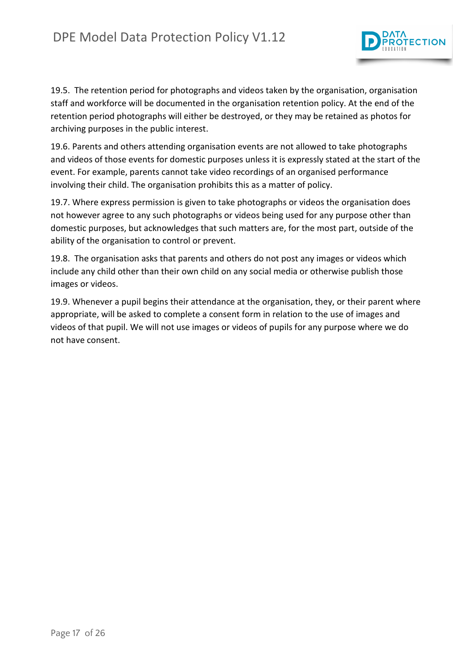

19.5. The retention period for photographs and videos taken by the organisation, organisation staff and workforce will be documented in the organisation retention policy. At the end of the retention period photographs will either be destroyed, or they may be retained as photos for archiving purposes in the public interest.

19.6. Parents and others attending organisation events are not allowed to take photographs and videos of those events for domestic purposes unless it is expressly stated at the start of the event. For example, parents cannot take video recordings of an organised performance involving their child. The organisation prohibits this as a matter of policy.

19.7. Where express permission is given to take photographs or videos the organisation does not however agree to any such photographs or videos being used for any purpose other than domestic purposes, but acknowledges that such matters are, for the most part, outside of the ability of the organisation to control or prevent.

19.8. The organisation asks that parents and others do not post any images or videos which include any child other than their own child on any social media or otherwise publish those images or videos.

19.9. Whenever a pupil begins their attendance at the organisation, they, or their parent where appropriate, will be asked to complete a consent form in relation to the use of images and videos of that pupil. We will not use images or videos of pupils for any purpose where we do not have consent.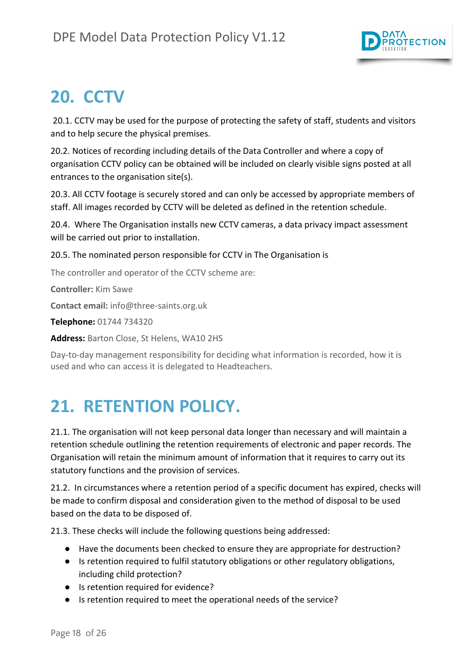

#### <span id="page-17-0"></span>**20. CCTV**

20.1. CCTV may be used for the purpose of protecting the safety of staff, students and visitors and to help secure the physical premises.

20.2. Notices of recording including details of the Data Controller and where a copy of organisation CCTV policy can be obtained will be included on clearly visible signs posted at all entrances to the organisation site(s).

20.3. All CCTV footage is securely stored and can only be accessed by appropriate members of staff. All images recorded by CCTV will be deleted as defined in the retention schedule.

20.4. Where The Organisation installs new CCTV cameras, a data privacy impact assessment will be carried out prior to installation.

20.5. The nominated person responsible for CCTV in The Organisation is

The controller and operator of the CCTV scheme are:

**Controller:** Kim Sawe

**Contact email:** info@three-saints.org.uk

**Telephone:** 01744 734320

**Address:** Barton Close, St Helens, WA10 2HS

Day-to-day management responsibility for deciding what information is recorded, how it is used and who can access it is delegated to Headteachers.

#### <span id="page-17-1"></span>**21. RETENTION POLICY.**

21.1. The organisation will not keep personal data longer than necessary and will maintain a retention schedule outlining the retention requirements of electronic and paper records. The Organisation will retain the minimum amount of information that it requires to carry out its statutory functions and the provision of services.

21.2. In circumstances where a retention period of a specific document has expired, checks will be made to confirm disposal and consideration given to the method of disposal to be used based on the data to be disposed of.

21.3. These checks will include the following questions being addressed:

- Have the documents been checked to ensure they are appropriate for destruction?
- Is retention required to fulfil statutory obligations or other regulatory obligations, including child protection?
- Is retention required for evidence?
- Is retention required to meet the operational needs of the service?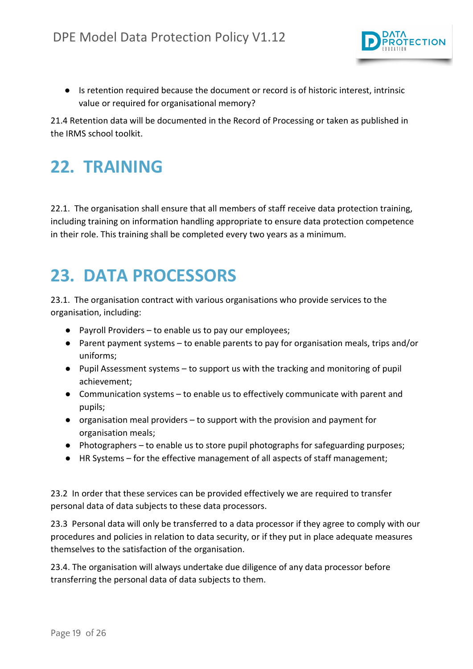

● Is retention required because the document or record is of historic interest, intrinsic value or required for organisational memory?

21.4 Retention data will be documented in the Record of Processing or taken as published in the IRMS school toolkit.

#### <span id="page-18-0"></span>**22. TRAINING**

22.1. The organisation shall ensure that all members of staff receive data protection training, including training on information handling appropriate to ensure data protection competence in their role. This training shall be completed every two years as a minimum.

#### <span id="page-18-1"></span>**23. DATA PROCESSORS**

23.1. The organisation contract with various organisations who provide services to the organisation, including:

- Payroll Providers to enable us to pay our employees;
- Parent payment systems to enable parents to pay for organisation meals, trips and/or uniforms;
- Pupil Assessment systems to support us with the tracking and monitoring of pupil achievement;
- Communication systems to enable us to effectively communicate with parent and pupils;
- organisation meal providers to support with the provision and payment for organisation meals;
- Photographers to enable us to store pupil photographs for safeguarding purposes;
- HR Systems for the effective management of all aspects of staff management;

23.2 In order that these services can be provided effectively we are required to transfer personal data of data subjects to these data processors.

23.3 Personal data will only be transferred to a data processor if they agree to comply with our procedures and policies in relation to data security, or if they put in place adequate measures themselves to the satisfaction of the organisation.

23.4. The organisation will always undertake due diligence of any data processor before transferring the personal data of data subjects to them.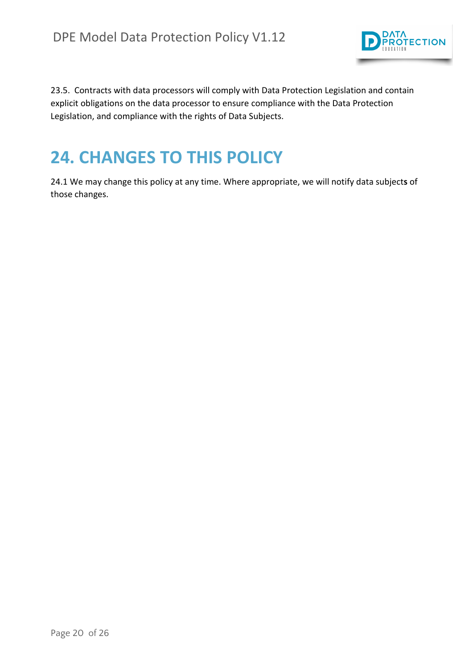

23.5. Contracts with data processors will comply with Data Protection Legislation and contain explicit obligations on the data processor to ensure compliance with the Data Protection Legislation, and compliance with the rights of Data Subjects.

#### <span id="page-19-0"></span>**24. CHANGES TO THIS POLICY**

24.1 We may change this policy at any time. Where appropriate, we will notify data subject**s** of those changes.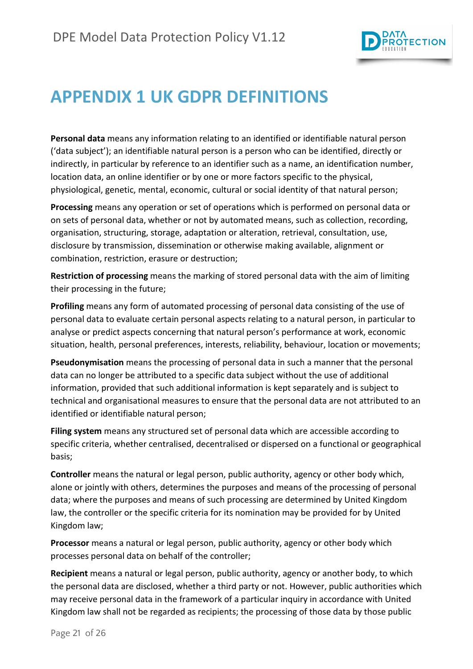

#### <span id="page-20-0"></span>**APPENDIX 1 UK GDPR DEFINITIONS**

**Personal data** means any information relating to an identified or identifiable natural person ('data subject'); an identifiable natural person is a person who can be identified, directly or indirectly, in particular by reference to an identifier such as a name, an identification number, location data, an online identifier or by one or more factors specific to the physical, physiological, genetic, mental, economic, cultural or social identity of that natural person;

**Processing** means any operation or set of operations which is performed on personal data or on sets of personal data, whether or not by automated means, such as collection, recording, organisation, structuring, storage, adaptation or alteration, retrieval, consultation, use, disclosure by transmission, dissemination or otherwise making available, alignment or combination, restriction, erasure or destruction;

**Restriction of processing** means the marking of stored personal data with the aim of limiting their processing in the future;

**Profiling** means any form of automated processing of personal data consisting of the use of personal data to evaluate certain personal aspects relating to a natural person, in particular to analyse or predict aspects concerning that natural person's performance at work, economic situation, health, personal preferences, interests, reliability, behaviour, location or movements;

**Pseudonymisation** means the processing of personal data in such a manner that the personal data can no longer be attributed to a specific data subject without the use of additional information, provided that such additional information is kept separately and is subject to technical and organisational measures to ensure that the personal data are not attributed to an identified or identifiable natural person;

**Filing system** means any structured set of personal data which are accessible according to specific criteria, whether centralised, decentralised or dispersed on a functional or geographical basis;

**Controller** means the natural or legal person, public authority, agency or other body which, alone or jointly with others, determines the purposes and means of the processing of personal data; where the purposes and means of such processing are determined by United Kingdom law, the controller or the specific criteria for its nomination may be provided for by United Kingdom law;

**Processor** means a natural or legal person, public authority, agency or other body which processes personal data on behalf of the controller;

**Recipient** means a natural or legal person, public authority, agency or another body, to which the personal data are disclosed, whether a third party or not. However, public authorities which may receive personal data in the framework of a particular inquiry in accordance with United Kingdom law shall not be regarded as recipients; the processing of those data by those public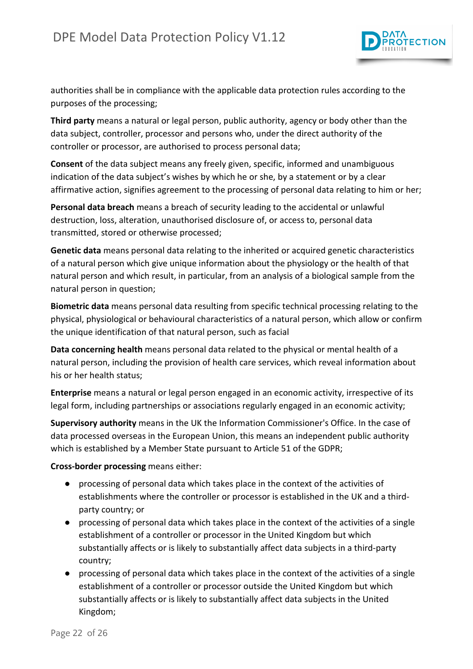

authorities shall be in compliance with the applicable data protection rules according to the purposes of the processing;

**Third party** means a natural or legal person, public authority, agency or body other than the data subject, controller, processor and persons who, under the direct authority of the controller or processor, are authorised to process personal data;

**Consent** of the data subject means any freely given, specific, informed and unambiguous indication of the data subject's wishes by which he or she, by a statement or by a clear affirmative action, signifies agreement to the processing of personal data relating to him or her;

**Personal data breach** means a breach of security leading to the accidental or unlawful destruction, loss, alteration, unauthorised disclosure of, or access to, personal data transmitted, stored or otherwise processed;

**Genetic data** means personal data relating to the inherited or acquired genetic characteristics of a natural person which give unique information about the physiology or the health of that natural person and which result, in particular, from an analysis of a biological sample from the natural person in question;

**Biometric data** means personal data resulting from specific technical processing relating to the physical, physiological or behavioural characteristics of a natural person, which allow or confirm the unique identification of that natural person, such as facial

**Data concerning health** means personal data related to the physical or mental health of a natural person, including the provision of health care services, which reveal information about his or her health status;

**Enterprise** means a natural or legal person engaged in an economic activity, irrespective of its legal form, including partnerships or associations regularly engaged in an economic activity;

**Supervisory authority** means in the UK the Information Commissioner's Office. In the case of data processed overseas in the European Union, this means an independent public authority which is established by a Member State pursuant to Article 51 of the GDPR;

#### **Cross-border processing** means either:

- processing of personal data which takes place in the context of the activities of establishments where the controller or processor is established in the UK and a thirdparty country; or
- processing of personal data which takes place in the context of the activities of a single establishment of a controller or processor in the United Kingdom but which substantially affects or is likely to substantially affect data subjects in a third-party country;
- processing of personal data which takes place in the context of the activities of a single establishment of a controller or processor outside the United Kingdom but which substantially affects or is likely to substantially affect data subjects in the United Kingdom;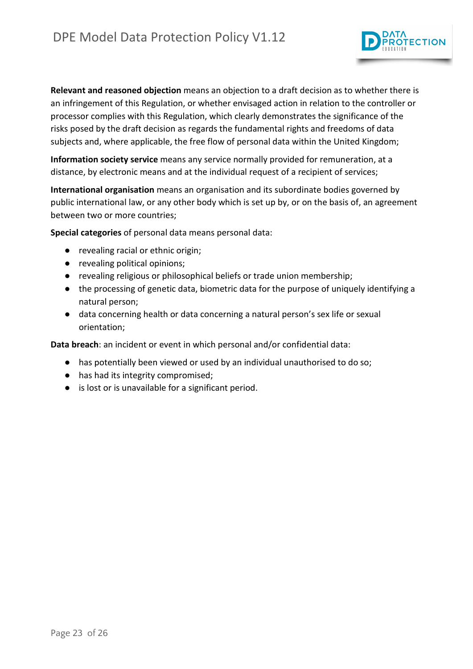

**Relevant and reasoned objection** means an objection to a draft decision as to whether there is an infringement of this Regulation, or whether envisaged action in relation to the controller or processor complies with this Regulation, which clearly demonstrates the significance of the risks posed by the draft decision as regards the fundamental rights and freedoms of data subjects and, where applicable, the free flow of personal data within the United Kingdom;

**Information society service** means any service normally provided for remuneration, at a distance, by electronic means and at the individual request of a recipient of services;

**International organisation** means an organisation and its subordinate bodies governed by public international law, or any other body which is set up by, or on the basis of, an agreement between two or more countries;

**Special categories** of personal data means personal data:

- revealing racial or ethnic origin;
- revealing political opinions;
- revealing religious or philosophical beliefs or trade union membership;
- the processing of genetic data, biometric data for the purpose of uniquely identifying a natural person;
- data concerning health or data concerning a natural person's sex life or sexual orientation;

**Data breach**: an incident or event in which personal and/or confidential data:

- has potentially been viewed or used by an individual unauthorised to do so;
- has had its integrity compromised;
- is lost or is unavailable for a significant period.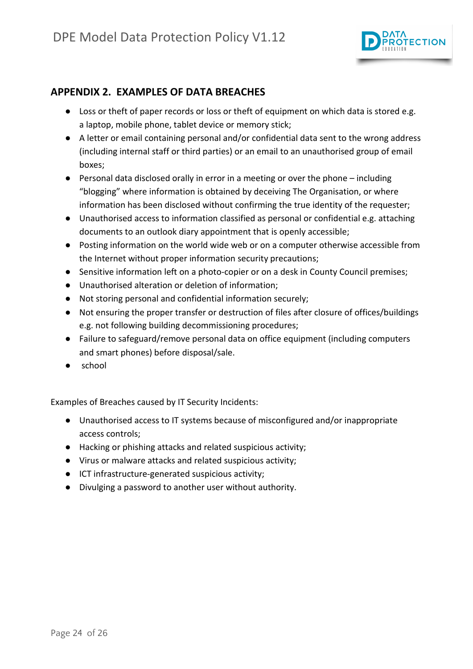

#### **APPENDIX 2. EXAMPLES OF DATA BREACHES**

- Loss or theft of paper records or loss or theft of equipment on which data is stored e.g. a laptop, mobile phone, tablet device or memory stick;
- A letter or email containing personal and/or confidential data sent to the wrong address (including internal staff or third parties) or an email to an unauthorised group of email boxes;
- Personal data disclosed orally in error in a meeting or over the phone including "blogging" where information is obtained by deceiving The Organisation, or where information has been disclosed without confirming the true identity of the requester;
- Unauthorised access to information classified as personal or confidential e.g. attaching documents to an outlook diary appointment that is openly accessible;
- Posting information on the world wide web or on a computer otherwise accessible from the Internet without proper information security precautions;
- Sensitive information left on a photo-copier or on a desk in County Council premises;
- Unauthorised alteration or deletion of information;
- Not storing personal and confidential information securely;
- Not ensuring the proper transfer or destruction of files after closure of offices/buildings e.g. not following building decommissioning procedures;
- Failure to safeguard/remove personal data on office equipment (including computers and smart phones) before disposal/sale.
- school

Examples of Breaches caused by IT Security Incidents:

- Unauthorised access to IT systems because of misconfigured and/or inappropriate access controls;
- Hacking or phishing attacks and related suspicious activity;
- Virus or malware attacks and related suspicious activity;
- ICT infrastructure-generated suspicious activity;
- Divulging a password to another user without authority.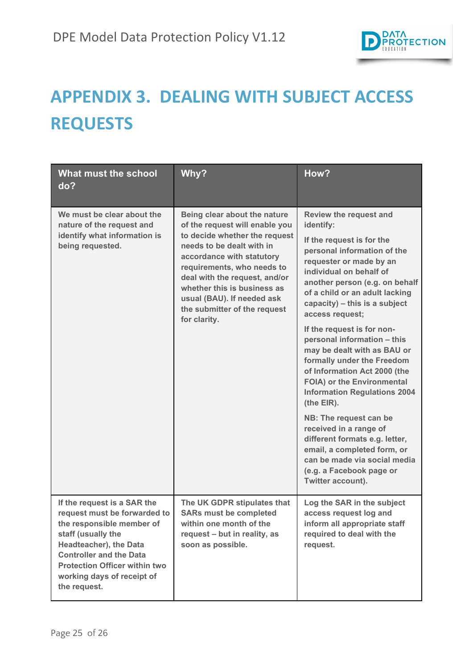

# <span id="page-24-0"></span>**APPENDIX 3. DEALING WITH SUBJECT ACCESS REQUESTS**

| What must the school<br>do?                                                                                                                                                                                                                                      | Why?                                                                                                                                                                                                                                                                                                                                  | How?                                                                                                                                                                                                                                                                                                                                                                                                                                                                                                                                                                                         |
|------------------------------------------------------------------------------------------------------------------------------------------------------------------------------------------------------------------------------------------------------------------|---------------------------------------------------------------------------------------------------------------------------------------------------------------------------------------------------------------------------------------------------------------------------------------------------------------------------------------|----------------------------------------------------------------------------------------------------------------------------------------------------------------------------------------------------------------------------------------------------------------------------------------------------------------------------------------------------------------------------------------------------------------------------------------------------------------------------------------------------------------------------------------------------------------------------------------------|
| We must be clear about the<br>nature of the request and<br>identify what information is<br>being requested.                                                                                                                                                      | Being clear about the nature<br>of the request will enable you<br>to decide whether the request<br>needs to be dealt with in<br>accordance with statutory<br>requirements, who needs to<br>deal with the request, and/or<br>whether this is business as<br>usual (BAU). If needed ask<br>the submitter of the request<br>for clarity. | <b>Review the request and</b><br>identify:<br>If the request is for the<br>personal information of the<br>requester or made by an<br>individual on behalf of<br>another person (e.g. on behalf<br>of a child or an adult lacking<br>capacity) - this is a subject<br>access request;<br>If the request is for non-<br>personal information - this<br>may be dealt with as BAU or<br>formally under the Freedom<br>of Information Act 2000 (the<br><b>FOIA) or the Environmental</b><br><b>Information Regulations 2004</b><br>(the EIR).<br>NB: The request can be<br>received in a range of |
|                                                                                                                                                                                                                                                                  |                                                                                                                                                                                                                                                                                                                                       | different formats e.g. letter,<br>email, a completed form, or<br>can be made via social media<br>(e.g. a Facebook page or<br>Twitter account).                                                                                                                                                                                                                                                                                                                                                                                                                                               |
| If the request is a SAR the<br>request must be forwarded to<br>the responsible member of<br>staff (usually the<br>Headteacher), the Data<br><b>Controller and the Data</b><br><b>Protection Officer within two</b><br>working days of receipt of<br>the request. | The UK GDPR stipulates that<br><b>SARs must be completed</b><br>within one month of the<br>request - but in reality, as<br>soon as possible.                                                                                                                                                                                          | Log the SAR in the subject<br>access request log and<br>inform all appropriate staff<br>required to deal with the<br>request.                                                                                                                                                                                                                                                                                                                                                                                                                                                                |